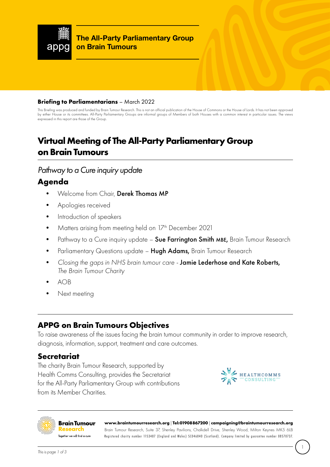

**The All-Party Parliamentary Group on Brain Tumours**

#### **Briefing to Parliamentarians** – March 2022

This Briefing was produced and funded by Brain Tumour Research. This is not an official publication of the House of Commons or the House of Lords. It has not been approved by either House or its committees. All-Party Parliamentary Groups are informal groups of Members of both Houses with a common interest in particular issues. The views expressed in this report are those of the Group.

# **Virtual Meeting of The All-Party Parliamentary Group on Brain Tumours**

#### *Pathway to a Cure inquiry update*

# **Agenda**

- Welcome from Chair, Derek Thomas MP
- Apologies received
- Introduction of speakers
- Matters arising from meeting held on 17<sup>th</sup> December 2021
- Pathway to a Cure inquiry update Sue Farrington Smith MBE, Brain Tumour Research
- Parliamentary Questions update Hugh Adams, Brain Tumour Research
- *Closing the gaps in NHS brain tumour care* Jamie Lederhose and Kate Roberts, *The Brain Tumour Charity*
- $AOB$
- Next meeting

# **APPG on Brain Tumours Objectives**

To raise awareness of the issues facing the brain tumour community in order to improve research, diagnosis, information, support, treatment and care outcomes.

#### **Secretariat**

The charity Brain Tumour Research, supported by Health Comms Consulting, provides the Secretariat for the All-Party Parliamentary Group with contributions from its Member Charities.





**[www.braintumourresearch.org](http://www.braintumourresearch.org) | Tel: 01908 867200 | [campaigning@braintumourresearch.org](mailto:campaigning@braintumourresearch.org)**

Brain Tumour Research, Suite 37, Shenley Pavilions, Chalkdell Drive, Shenley Wood, Milton Keynes MK5 6LB Registered charity number 1153487 (England and Wales) SC046840 (Scotland). Company limited by guarantee number 08570737.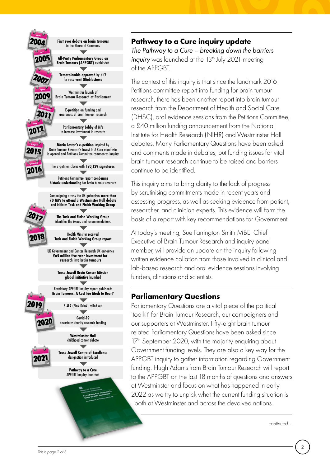

## **Pathway to a Cure inquiry update**

*The Pathway to a Cure – breaking down the barriers inquiry* was launched at the 13<sup>th</sup> July 2021 meeting of the APPGBT.

The context of this inquiry is that since the landmark 2016 Petitions committee report into funding for brain tumour research, there has been another report into brain tumour research from the Department of Health and Social Care (DHSC), oral evidence sessions from the Petitions Committee, a £40 million funding announcement from the National Institute for Health Research (NIHR) and Westminster Hall debates. Many Parliamentary Questions have been asked and comments made in debates, but funding issues for vital brain tumour research continue to be raised and barriers continue to be identified.

This inquiry aims to bring clarity to the lack of progress by scrutinising commitments made in recent years and assessing progress, as well as seeking evidence from patient, researcher, and clinician experts. This evidence will form the basis of a report with key recommendations for Government.

At today's meeting, Sue Farrington Smith MBE, Chief Executive of Brain Tumour Research and inquiry panel member, will provide an update on the inquiry following written evidence collation from those involved in clinical and lab-based research and oral evidence sessions involving funders, clinicians and scientists.

# **Parliamentary Questions**

Parliamentary Questions are a vital piece of the political 'toolkit' for Brain Tumour Research, our campaigners and our supporters at Westminster. Fifty-eight brain tumour related Parliamentary Questions have been asked since 17<sup>th</sup> September 2020, with the majority enquiring about Government funding levels. They are also a key way for the APPGBT inquiry to gather information regarding Government funding. Hugh Adams from Brain Tumour Research will report to the APPGBT on the last 18 months of questions and answers at Westminster and focus on what has happened in early 2022 as we try to unpick what the current funding situation is both at Westminster and across the devolved nations.

*continued....*